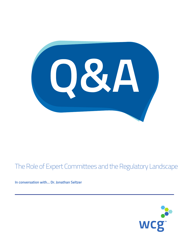084

# The Role of Expert Committees and the Regulatory Landscape

**In conversation with… Dr. Jonathan Seltzer**

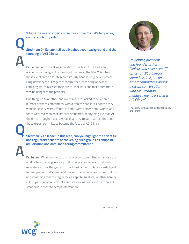What's the role of expert committees today? What's happening on the regulatory side?

 **Stedman: Dr. Seltzer, tell us a bit about your background and the founding of ACI Clinical Q**

> **Dr. Seltzer**: ACI Clinical was founded officially in 2001. I was an academic cardiologist; I came out of training in the late '90s when the issue of cardiac safety reared its ugly head in drug development. Drug developers put together committees, consisting of expert cardiologists, to oversee their clinical trial work and make sure there was no danger to the patients.

> One thing led to another, and over time I was asked to serve on a number of these committees, with different sponsors. I noticed they were done very, very differently. Some were better, some worse, and there were really no best-practice standards, or anything like that. At the time, I thought it was a good idea to try to put that together, and these expert committees became the focus of ACI Clinical.

**Q A**

**A**

 **Stedman: As a leader in this area, can you highlight the scientific and regulatory benefits of convening such groups as endpoint adjudication and data-monitoring committees?**

 **Dr. Seltzer**: What we try to do for any expert committee is harness the world's best thinking in a way that is understandable and helpful to regulators across the globe. You could ask a friend who's a cardiologist for an opinion. That's great and the information is often correct, but it's not something that the regulators accept. Regulators, whether here or in Europe or Japan or Australia, require very rigorous and transparent standards in order to accept information.



*Dr. Seltzer, president and founder of ACI Clinical, and chief scientific officer of WCG Clinical, shared his insights on expert committees during a recent conversation with Bill Stedman, manager, member services, ACI Clinical.*

The interview has been edited for clarity and length.

Continued >

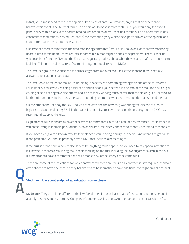In fact, you almost need to make the opinion like a piece of data. For instance, saying that an expert panel believes "this event is acute renal failure" is an opinion. To make it more "data–like," you would say the expert panel believes this is an event of acute renal failure based on a) pre–specified criteria such as laboratory values, concomitant medications, procedures, etc.; b) the methodology by which the experts arrived at the opinion, and c) the information the committee examines.

 One type of expert committee is the data monitoring committee (DMC), also known as a data safety monitoring board, a data safety board–there are lots of names for it; that might be one of the problems. There is specific guidance, both from the FDA and the European regulatory bodies, about what they expect a safety committee to look like. (All clinical trials require safety monitoring, but not all require a DMC.)

 The DMC is a group of experts that sits arm's length from a clinical trial. Unlike the sponsor, they're actually allowed to look at unblinded data.

 The DMC looks at the entire trial as it's unfolding in case there's something wrong with one of the study arms. For instance, let's say you're doing a trial of an antibiotic and you see that, in one arm of the trial, the new drug is causing all sorts of negative side effects and it's not really working much better than the old drug. It's unethical to let that trial continue. In that case, the data monitoring committee would recommend the sponsor end the trial.

 On the other hand, let's say the DMC looked at the data and the new drug was curing the disease at a much higher rate than the old drug. Well, in that case, it's unethical to leave people on the old drug, so the DMC may recommend stopping the trial.

 Regulators require sponsors to have these types of committees in certain type of circumstances--for instance, if you are studying vulnerable populations, such as children, the elderly, those who cannot understand consent, etc.

 If you have a drug with a known toxicity, for instance if you're doing a drug trial and you know that it might cause blood problems, you should probably have a DMC that includes a hematologist.

 If the drug is brand new–a new molecular entity–anything could happen, so you need to pay special attention to it. Likewise, if there's a really long trial, people working on the trial, including the investigators, switch in and out. It's important to have a committee that has a stable view of the safety of the compound.

 Those are some of the indications for which safety committees are required. Even when it isn't required, sponsors often choose to have one because they believe it's the best practice to have additional oversight on a clinical trial.

### **Stedman: How about endpoint adjudication committees?**

 **Dr. Seltzer**: They are a little different. I think we've all been in–or at least heard of--situations when everyone in a family has the same symptoms. One person's doctor says it's a cold. Another person's doctor calls it the flu.



**Q**

**A**

Continued >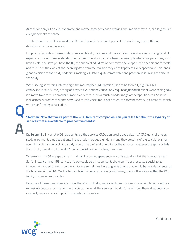Another one says it's a viral syndrome and maybe somebody has a walking pneumonia thrown in, or allergies. But everybody looks the same.

 This happens also in clinical medicine. Different people in different parts of the world may have different definitions for the same event.

 Endpoint adjudication makes trials more scientifically rigorous and more efficient. Again, we get a roving band of expert doctors who create standard definitions for endpoints. Let's take that example where one person says you have a cold, one says you have the flu; the endpoint adjudication committee develops precise definitions for "cold" and "flu." Then they look at the incoming data from the trial and they classify patients very specifically. This lends great precision to the study endpoints, making regulators quite comfortable and potentially shrinking the size of the study.

 We're seeing something interesting in the marketplace. Adjudication used to be for really big trials, big cardiovascular trials–they are big and expensive, and they absolutely require adjudication. What we're seeing now is a move toward much smaller numbers of events, but in a much broader range of therapeutic areas. So if we look across our roster of clients now, we'd certainly see 10s, if not scores, of different therapeutic areas for which we are performing adjudication.

## **Stedman: Now that we're part of the WCG family of companies, can you talk a bit about the synergy of services that are available to prospective clients?**

 **Dr. Seltzer**: I think what WCG represents are the services CROs don't really specialize in. A CRO generally helps study enrollment, they get patients in the study, they get their data in and they do some of the calculations for your NDA submission or clinical study report. The CRO sort of works for the sponsor: Whatever the sponsor tells them to do, they do. But they don't really specialize in arm's length services.

 Whereas with WCG, we specialize in maintaining our independence, which is actually what the regulators want. So, for instance, in our IRB services it's obviously very independent. Likewise, in our group, we specialize at independent expert thinking. So the advice we sometimes have to give is things that would be very detrimental to the business of the CRO. We like to maintain that separation along with many, many other services that the WCG family of companies provides.

 Because all these companies are under the WCG umbrella, many clients feel it's very convenient to work with us exclusively because it's one contract. WCG can cover all the services. You don't have to buy them all at once; you can really have a chance to pick from a palette of services.



**Q**

**A**

Continued >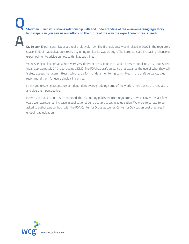**Stedman: Given your strong relationship with and understanding of the ever–emerging regulatory landscape, can you give us an outlook on the future of the way the expert committee is used? Q A**

 **Dr. Seltzer**: Expert committees are really relatively new. The first guidance was finalized in 2007 in the regulatory space. Endpoint adjudication is really beginning to filter its way through. The Europeans are increasing reliance on expert opinion to advise on how to think about things.

 We're seeing it also spread across very, very different areas. In phase 2 and 3 interventional industry–sponsored trials, approximately 24% report using a DMC. The FDA has draft guidance that expands the use of what they call "safety assessment committees," which are a form of data monitoring committee. In the draft guidance, they recommend them for every single clinical trial.

 I think you're seeing acceptance of independent oversight doing some of the work to help advise the regulators and give them perspective.

 In terms of adjudication, as I mentioned, there's nothing published from regulators. However, over the last few years we have seen an increase in publication around best practices in adjudication. We were fortunate to be asked to author a paper both with the FDA Center for Drugs as well as Center for Devices on best practices in endpoint adjudication.